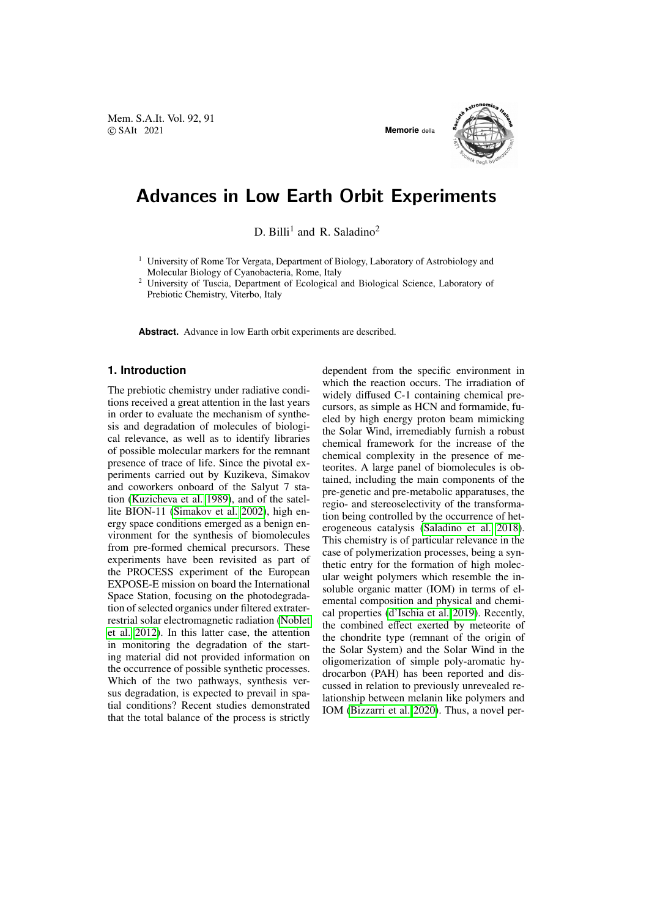Mem. S.A.It. Vol. 92, 91 © SAIt 2021 **Memorie** della



## Advances in Low Earth Orbit Experiments

D. Billi<sup>1</sup> and R. Saladino<sup>2</sup>

- <sup>1</sup> University of Rome Tor Vergata, Department of Biology, Laboratory of Astrobiology and Molecular Biology of Cyanobacteria, Rome, Italy
- <sup>2</sup> University of Tuscia, Department of Ecological and Biological Science, Laboratory of Prebiotic Chemistry, Viterbo, Italy

**Abstract.** Advance in low Earth orbit experiments are described.

## **1. Introduction**

The prebiotic chemistry under radiative conditions received a great attention in the last years in order to evaluate the mechanism of synthesis and degradation of molecules of biological relevance, as well as to identify libraries of possible molecular markers for the remnant presence of trace of life. Since the pivotal experiments carried out by Kuzikeva, Simakov and coworkers onboard of the Salyut 7 station [\(Kuzicheva et al. 1989\)](#page-2-0), and of the satellite BION-11 [\(Simakov et al. 2002\)](#page-2-1), high energy space conditions emerged as a benign environment for the synthesis of biomolecules from pre-formed chemical precursors. These experiments have been revisited as part of the PROCESS experiment of the European EXPOSE-E mission on board the International Space Station, focusing on the photodegradation of selected organics under filtered extraterrestrial solar electromagnetic radiation [\(Noblet](#page-2-2) [et al. 2012\)](#page-2-2). In this latter case, the attention in monitoring the degradation of the starting material did not provided information on the occurrence of possible synthetic processes. Which of the two pathways, synthesis versus degradation, is expected to prevail in spatial conditions? Recent studies demonstrated that the total balance of the process is strictly dependent from the specific environment in which the reaction occurs. The irradiation of widely diffused C-1 containing chemical precursors, as simple as HCN and formamide, fueled by high energy proton beam mimicking the Solar Wind, irremediably furnish a robust chemical framework for the increase of the chemical complexity in the presence of meteorites. A large panel of biomolecules is obtained, including the main components of the pre-genetic and pre-metabolic apparatuses, the regio- and stereoselectivity of the transformation being controlled by the occurrence of heterogeneous catalysis [\(Saladino et al. 2018\)](#page-2-3). This chemistry is of particular relevance in the case of polymerization processes, being a synthetic entry for the formation of high molecular weight polymers which resemble the insoluble organic matter (IOM) in terms of elemental composition and physical and chemical properties [\(d'Ischia et al. 2019\)](#page-2-4). Recently, the combined effect exerted by meteorite of the chondrite type (remnant of the origin of the Solar System) and the Solar Wind in the oligomerization of simple poly-aromatic hydrocarbon (PAH) has been reported and discussed in relation to previously unrevealed relationship between melanin like polymers and IOM [\(Bizzarri et al. 2020\)](#page-2-5). Thus, a novel per-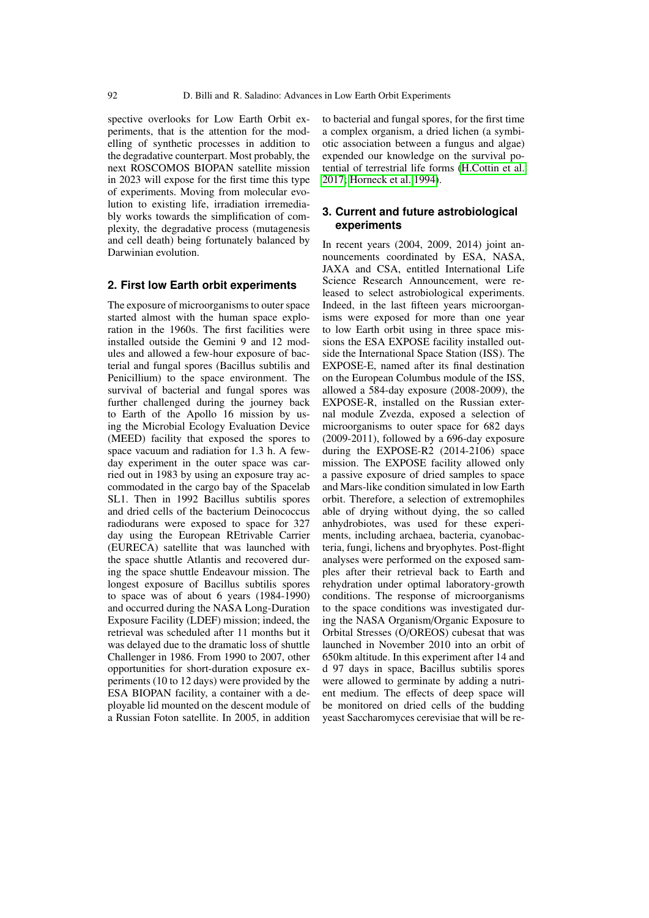spective overlooks for Low Earth Orbit experiments, that is the attention for the modelling of synthetic processes in addition to the degradative counterpart. Most probably, the next ROSCOMOS BIOPAN satellite mission in 2023 will expose for the first time this type of experiments. Moving from molecular evolution to existing life, irradiation irremediably works towards the simplification of complexity, the degradative process (mutagenesis and cell death) being fortunately balanced by Darwinian evolution.

## **2. First low Earth orbit experiments**

The exposure of microorganisms to outer space started almost with the human space exploration in the 1960s. The first facilities were installed outside the Gemini 9 and 12 modules and allowed a few-hour exposure of bacterial and fungal spores (Bacillus subtilis and Penicillium) to the space environment. The survival of bacterial and fungal spores was further challenged during the journey back to Earth of the Apollo 16 mission by using the Microbial Ecology Evaluation Device (MEED) facility that exposed the spores to space vacuum and radiation for 1.3 h. A fewday experiment in the outer space was carried out in 1983 by using an exposure tray accommodated in the cargo bay of the Spacelab SL1. Then in 1992 Bacillus subtilis spores and dried cells of the bacterium Deinococcus radiodurans were exposed to space for 327 day using the European REtrivable Carrier (EURECA) satellite that was launched with the space shuttle Atlantis and recovered during the space shuttle Endeavour mission. The longest exposure of Bacillus subtilis spores to space was of about 6 years (1984-1990) and occurred during the NASA Long-Duration Exposure Facility (LDEF) mission; indeed, the retrieval was scheduled after 11 months but it was delayed due to the dramatic loss of shuttle Challenger in 1986. From 1990 to 2007, other opportunities for short-duration exposure experiments (10 to 12 days) were provided by the ESA BIOPAN facility, a container with a deployable lid mounted on the descent module of a Russian Foton satellite. In 2005, in addition to bacterial and fungal spores, for the first time a complex organism, a dried lichen (a symbiotic association between a fungus and algae) expended our knowledge on the survival potential of terrestrial life forms [\(H.Cottin et al.](#page-2-6) [2017;](#page-2-6) [Horneck et al. 1994\)](#page-2-7).

## **3. Current and future astrobiological experiments**

In recent years (2004, 2009, 2014) joint announcements coordinated by ESA, NASA, JAXA and CSA, entitled International Life Science Research Announcement, were released to select astrobiological experiments. Indeed, in the last fifteen years microorganisms were exposed for more than one year to low Earth orbit using in three space missions the ESA EXPOSE facility installed outside the International Space Station (ISS). The EXPOSE-E, named after its final destination on the European Columbus module of the ISS, allowed a 584-day exposure (2008-2009), the EXPOSE-R, installed on the Russian external module Zvezda, exposed a selection of microorganisms to outer space for 682 days (2009-2011), followed by a 696-day exposure during the EXPOSE-R2 (2014-2106) space mission. The EXPOSE facility allowed only a passive exposure of dried samples to space and Mars-like condition simulated in low Earth orbit. Therefore, a selection of extremophiles able of drying without dying, the so called anhydrobiotes, was used for these experiments, including archaea, bacteria, cyanobacteria, fungi, lichens and bryophytes. Post-flight analyses were performed on the exposed samples after their retrieval back to Earth and rehydration under optimal laboratory-growth conditions. The response of microorganisms to the space conditions was investigated during the NASA Organism/Organic Exposure to Orbital Stresses (O/OREOS) cubesat that was launched in November 2010 into an orbit of 650km altitude. In this experiment after 14 and d 97 days in space, Bacillus subtilis spores were allowed to germinate by adding a nutrient medium. The effects of deep space will be monitored on dried cells of the budding yeast Saccharomyces cerevisiae that will be re